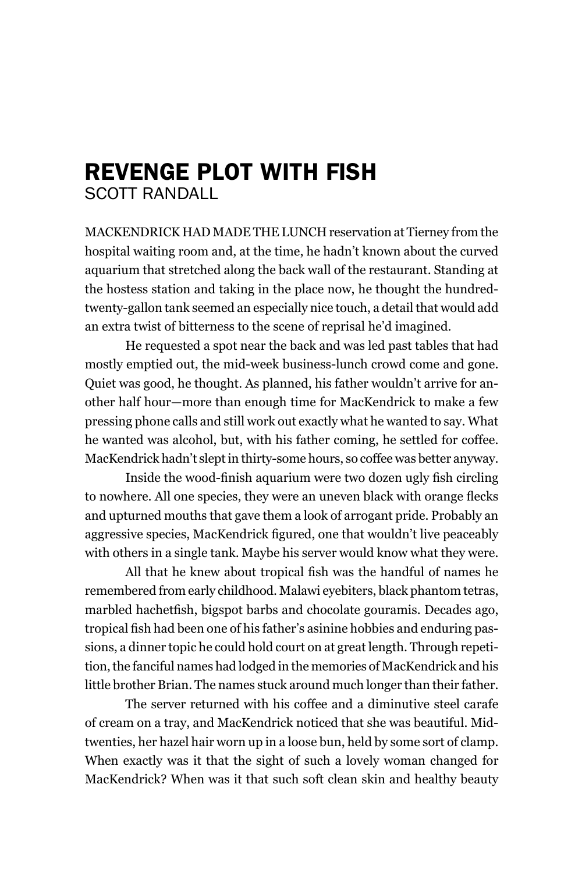## rEvEngE Plot with fish ScoTT rAnDALL

mACKenDRICK hAD mADe The lunCh reservation at Tierney from the hospital waiting room and, at the time, he hadn't known about the curved aquarium that stretched along the back wall of the restaurant. Standing at the hostess station and taking in the place now, he thought the hundredtwenty-gallon tank seemed an especially nice touch, a detail that would add an extra twist of bitterness to the scene of reprisal he'd imagined.

he requested a spot near the back and was led past tables that had mostly emptied out, the mid-week business-lunch crowd come and gone. Quiet was good, he thought. As planned, his father wouldn't arrive for another half hour—more than enough time for macKendrick to make a few pressing phone calls and still work out exactly what he wanted to say. What he wanted was alcohol, but, with his father coming, he settled for coffee. macKendrick hadn't slept in thirty-some hours, so coffee was better anyway.

Inside the wood-finish aquarium were two dozen ugly fish circling to nowhere. All one species, they were an uneven black with orange flecks and upturned mouths that gave them a look of arrogant pride. Probably an aggressive species, MacKendrick figured, one that wouldn't live peaceably with others in a single tank. Maybe his server would know what they were.

All that he knew about tropical fish was the handful of names he remembered from early childhood. malawi eyebiters, black phantom tetras, marbled hachetfish, bigspot barbs and chocolate gouramis. Decades ago, tropical fish had been one of his father's asinine hobbies and enduring passions, a dinner topic he could hold court on at great length. Through repetition, the fanciful names had lodged in the memories of macKendrick and his little brother Brian. The names stuck around much longer than their father.

The server returned with his coffee and a diminutive steel carafe of cream on a tray, and macKendrick noticed that she was beautiful. midtwenties, her hazel hair worn up in a loose bun, held by some sort of clamp. When exactly was it that the sight of such a lovely woman changed for macKendrick? When was it that such soft clean skin and healthy beauty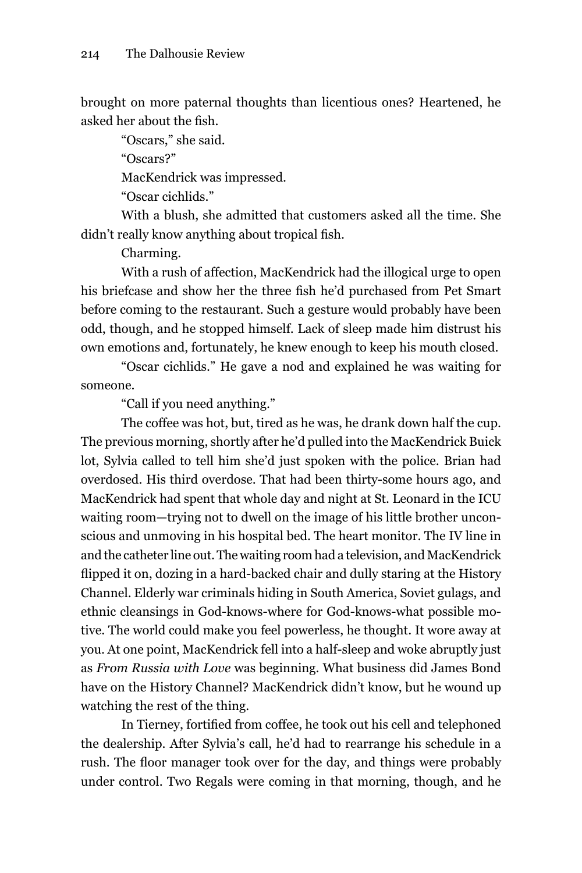brought on more paternal thoughts than licentious ones? heartened, he asked her about the fish.

"oscars," she said.

"oscars?"

MacKendrick was impressed.

"oscar cichlids."

With a blush, she admitted that customers asked all the time. She didn't really know anything about tropical fish.

Charming.

With a rush of affection, macKendrick had the illogical urge to open his briefcase and show her the three fish he'd purchased from Pet Smart before coming to the restaurant. Such a gesture would probably have been odd, though, and he stopped himself. lack of sleep made him distrust his own emotions and, fortunately, he knew enough to keep his mouth closed.

"oscar cichlids." he gave a nod and explained he was waiting for someone.

"Call if you need anything."

The coffee was hot, but, tired as he was, he drank down half the cup. The previous morning, shortly after he'd pulled into the macKendrick Buick lot, Sylvia called to tell him she'd just spoken with the police. Brian had overdosed. his third overdose. That had been thirty-some hours ago, and macKendrick had spent that whole day and night at St. leonard in the ICu waiting room—trying not to dwell on the image of his little brother unconscious and unmoving in his hospital bed. The heart monitor. The IV line in and the catheter line out. The waiting room had a television, and macKendrick flipped it on, dozing in a hard-backed chair and dully staring at the History Channel. elderly war criminals hiding in South America, Soviet gulags, and ethnic cleansings in god-knows-where for god-knows-what possible motive. The world could make you feel powerless, he thought. It wore away at you. At one point, macKendrick fell into a half-sleep and woke abruptly just as *From Russia with Love* was beginning. What business did James Bond have on the History Channel? MacKendrick didn't know, but he wound up watching the rest of the thing.

In Tierney, fortified from coffee, he took out his cell and telephoned the dealership. After Sylvia's call, he'd had to rearrange his schedule in a rush. The floor manager took over for the day, and things were probably under control. Two Regals were coming in that morning, though, and he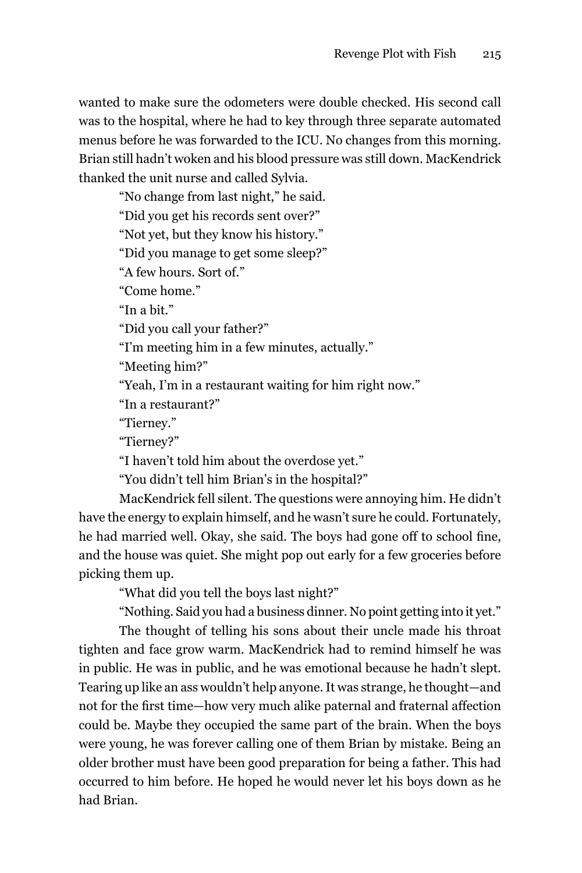wanted to make sure the odometers were double checked. his second call was to the hospital, where he had to key through three separate automated menus before he was forwarded to the ICU. No changes from this morning. Brian still hadn't woken and his blood pressure was still down. macKendrick thanked the unit nurse and called Sylvia.

"No change from last night," he said. "Did you get his records sent over?" "Not yet, but they know his history." "Did you manage to get some sleep?" "A few hours. Sort of." "Come home." "In a bit." "Did you call your father?" "I'm meeting him in a few minutes, actually." "meeting him?" "Yeah, I'm in a restaurant waiting for him right now." "In a restaurant?" "Tierney." "Tierney?"

"I haven't told him about the overdose yet."

"You didn't tell him Brian's in the hospital?"

macKendrick fell silent. The questions were annoying him. he didn't have the energy to explain himself, and he wasn't sure he could. Fortunately, he had married well. Okay, she said. The boys had gone off to school fine, and the house was quiet. She might pop out early for a few groceries before picking them up.

"What did you tell the boys last night?"

"Nothing. Said you had a business dinner. No point getting into it yet."

The thought of telling his sons about their uncle made his throat tighten and face grow warm. macKendrick had to remind himself he was in public. he was in public, and he was emotional because he hadn't slept. Tearing up like an ass wouldn't help anyone. It was strange, he thought—and not for the first time—how very much alike paternal and fraternal affection could be. maybe they occupied the same part of the brain. When the boys were young, he was forever calling one of them Brian by mistake. Being an older brother must have been good preparation for being a father. This had occurred to him before. he hoped he would never let his boys down as he had Brian.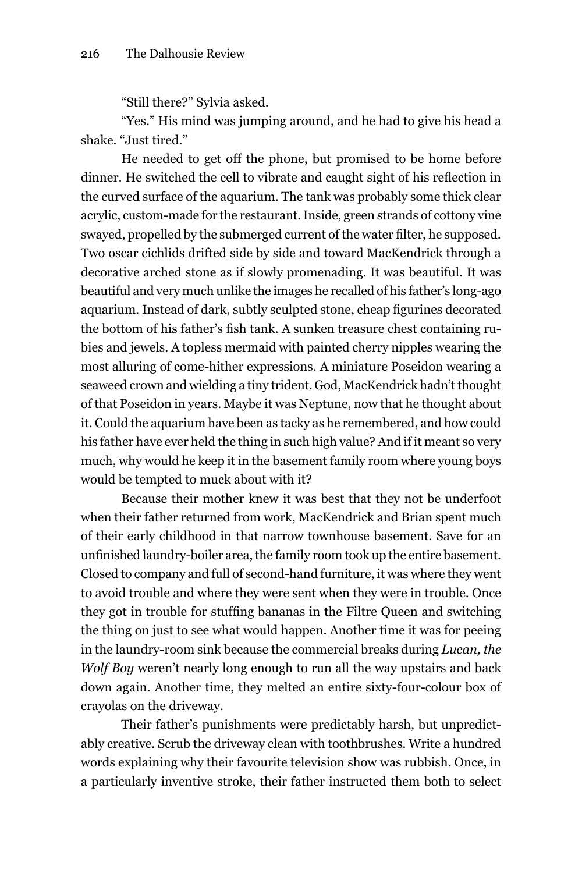"Still there?" Sylvia asked.

"Yes." His mind was jumping around, and he had to give his head a shake. "Just tired."

he needed to get off the phone, but promised to be home before dinner. He switched the cell to vibrate and caught sight of his reflection in the curved surface of the aquarium. The tank was probably some thick clear acrylic, custom-made for the restaurant. Inside, green strands of cottony vine swayed, propelled by the submerged current of the water filter, he supposed. Two oscar cichlids drifted side by side and toward macKendrick through a decorative arched stone as if slowly promenading. It was beautiful. It was beautiful and very much unlike the images he recalled of his father's long-ago aquarium. Instead of dark, subtly sculpted stone, cheap figurines decorated the bottom of his father's fish tank. A sunken treasure chest containing rubies and jewels. A topless mermaid with painted cherry nipples wearing the most alluring of come-hither expressions. A miniature Poseidon wearing a seaweed crown and wielding a tiny trident. God, MacKendrick hadn't thought of that Poseidon in years. maybe it was neptune, now that he thought about it. Could the aquarium have been as tacky as he remembered, and how could his father have ever held the thing in such high value? And if it meant so very much, why would he keep it in the basement family room where young boys would be tempted to muck about with it?

Because their mother knew it was best that they not be underfoot when their father returned from work, macKendrick and Brian spent much of their early childhood in that narrow townhouse basement. Save for an unfinished laundry-boiler area, the family room took up the entire basement. Closed to company and full of second-hand furniture, it was where they went to avoid trouble and where they were sent when they were in trouble. once they got in trouble for stuffing bananas in the Filtre Queen and switching the thing on just to see what would happen. Another time it was for peeing in the laundry-room sink because the commercial breaks during *Lucan, the Wolf Boy* weren't nearly long enough to run all the way upstairs and back down again. Another time, they melted an entire sixty-four-colour box of crayolas on the driveway.

Their father's punishments were predictably harsh, but unpredictably creative. Scrub the driveway clean with toothbrushes. Write a hundred words explaining why their favourite television show was rubbish. once, in a particularly inventive stroke, their father instructed them both to select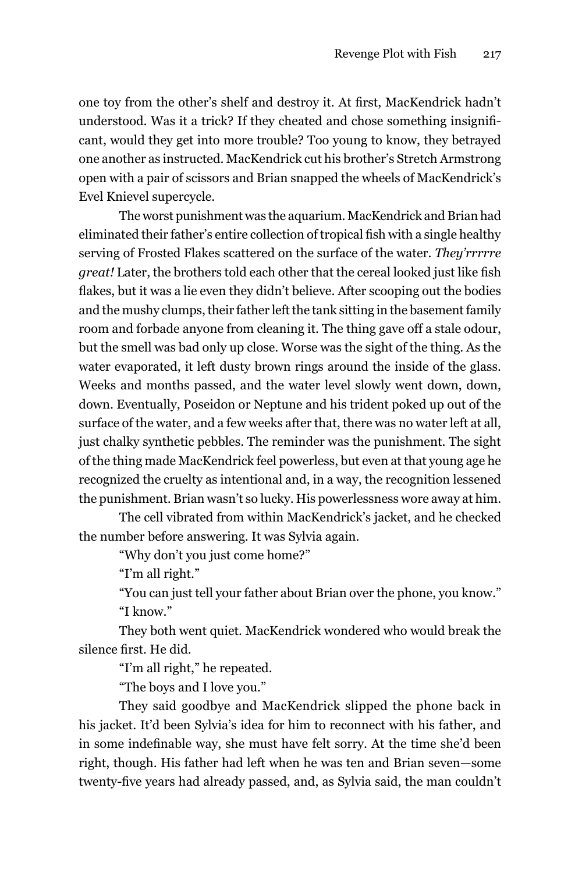one toy from the other's shelf and destroy it. At first, MacKendrick hadn't understood. Was it a trick? If they cheated and chose something insignificant, would they get into more trouble? Too young to know, they betrayed one another as instructed. macKendrick cut his brother's Stretch Armstrong open with a pair of scissors and Brian snapped the wheels of macKendrick's Evel Knievel supercycle.

The worst punishment was the aquarium. macKendrick and Brian had eliminated their father's entire collection of tropical fish with a single healthy serving of Frosted Flakes scattered on the surface of the water. *They'rrrrre great!* Later, the brothers told each other that the cereal looked just like fish flakes, but it was a lie even they didn't believe. After scooping out the bodies and the mushy clumps, their father left the tank sitting in the basement family room and forbade anyone from cleaning it. The thing gave off a stale odour, but the smell was bad only up close. Worse was the sight of the thing. As the water evaporated, it left dusty brown rings around the inside of the glass. Weeks and months passed, and the water level slowly went down, down, down. Eventually, Poseidon or Neptune and his trident poked up out of the surface of the water, and a few weeks after that, there was no water left at all, just chalky synthetic pebbles. The reminder was the punishment. The sight of the thing made macKendrick feel powerless, but even at that young age he recognized the cruelty as intentional and, in a way, the recognition lessened the punishment. Brian wasn't so lucky. his powerlessness wore away at him.

The cell vibrated from within macKendrick's jacket, and he checked the number before answering. It was Sylvia again.

"Why don't you just come home?"

"I'm all right."

"You can just tell your father about Brian over the phone, you know." "I know."

They both went quiet. macKendrick wondered who would break the silence first. He did.

"I'm all right," he repeated.

"The boys and I love you."

They said goodbye and macKendrick slipped the phone back in his jacket. It'd been Sylvia's idea for him to reconnect with his father, and in some indefinable way, she must have felt sorry. At the time she'd been right, though. His father had left when he was ten and Brian seven-some twenty-five years had already passed, and, as Sylvia said, the man couldn't